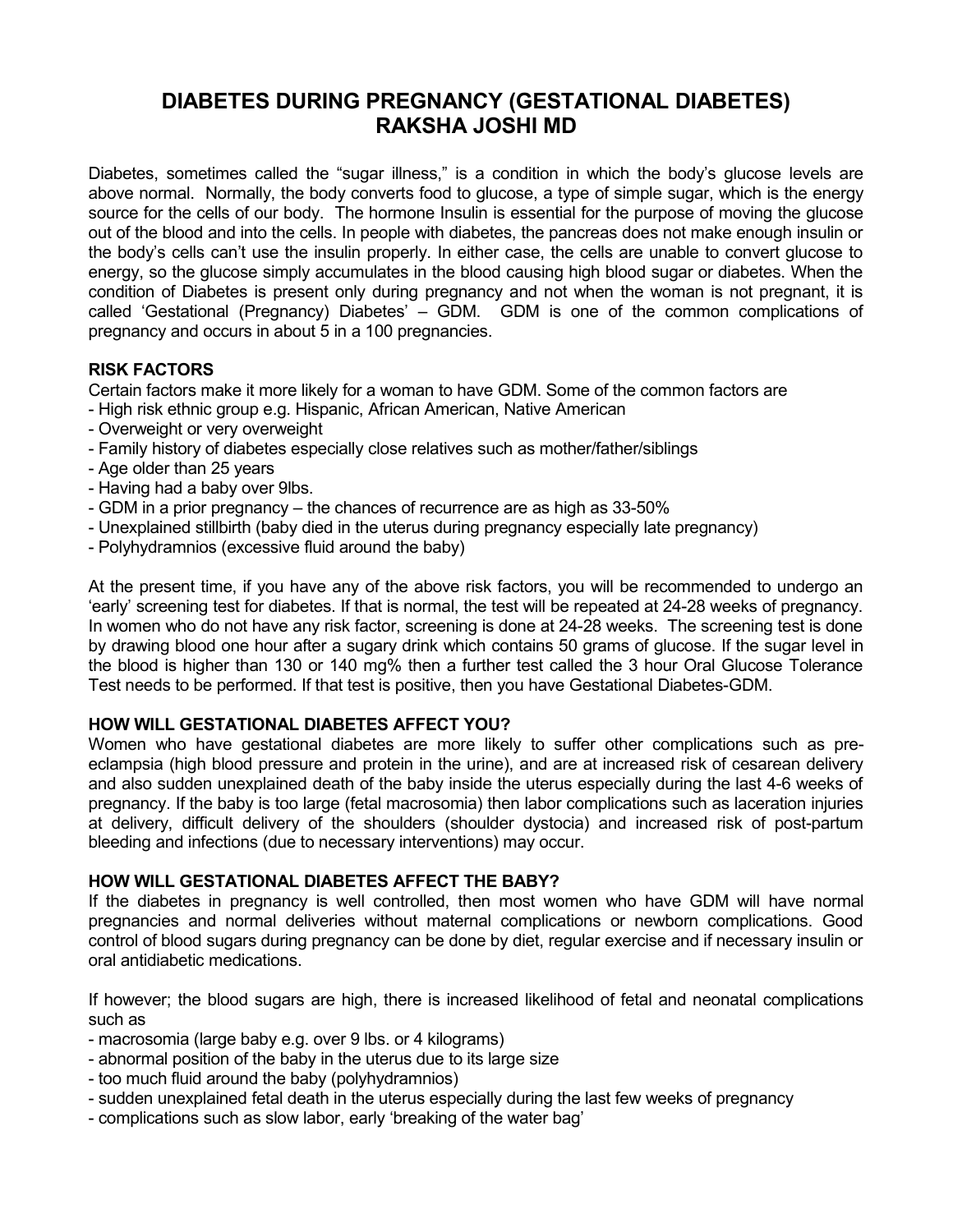# **DIABETES DURING PREGNANCY (GESTATIONAL DIABETES) RAKSHA JOSHI MD**

Diabetes, sometimes called the "sugar illness," is a condition in which the body's glucose levels are above normal. Normally, the body converts food to glucose, a type of simple sugar, which is the energy source for the cells of our body. The hormone Insulin is essential for the purpose of moving the glucose out of the blood and into the cells. In people with diabetes, the pancreas does not make enough insulin or the body's cells can't use the insulin properly. In either case, the cells are unable to convert glucose to energy, so the glucose simply accumulates in the blood causing high blood sugar or diabetes. When the condition of Diabetes is present only during pregnancy and not when the woman is not pregnant, it is called 'Gestational (Pregnancy) Diabetes' – GDM. GDM is one of the common complications of pregnancy and occurs in about 5 in a 100 pregnancies.

## **RISK FACTORS**

Certain factors make it more likely for a woman to have GDM. Some of the common factors are

- High risk ethnic group e.g. Hispanic, African American, Native American
- Overweight or very overweight
- Family history of diabetes especially close relatives such as mother/father/siblings
- Age older than 25 years
- Having had a baby over 9lbs.
- GDM in a prior pregnancy the chances of recurrence are as high as 33-50%
- Unexplained stillbirth (baby died in the uterus during pregnancy especially late pregnancy)
- Polyhydramnios (excessive fluid around the baby)

At the present time, if you have any of the above risk factors, you will be recommended to undergo an 'early' screening test for diabetes. If that is normal, the test will be repeated at 24-28 weeks of pregnancy. In women who do not have any risk factor, screening is done at 24-28 weeks. The screening test is done by drawing blood one hour after a sugary drink which contains 50 grams of glucose. If the sugar level in the blood is higher than 130 or 140 mg% then a further test called the 3 hour Oral Glucose Tolerance Test needs to be performed. If that test is positive, then you have Gestational Diabetes-GDM.

#### **HOW WILL GESTATIONAL DIABETES AFFECT YOU?**

Women who have gestational diabetes are more likely to suffer other complications such as preeclampsia (high blood pressure and protein in the urine), and are at increased risk of cesarean delivery and also sudden unexplained death of the baby inside the uterus especially during the last 4-6 weeks of pregnancy. If the baby is too large (fetal macrosomia) then labor complications such as laceration injuries at delivery, difficult delivery of the shoulders (shoulder dystocia) and increased risk of post-partum bleeding and infections (due to necessary interventions) may occur.

#### **HOW WILL GESTATIONAL DIABETES AFFECT THE BABY?**

If the diabetes in pregnancy is well controlled, then most women who have GDM will have normal pregnancies and normal deliveries without maternal complications or newborn complications. Good control of blood sugars during pregnancy can be done by diet, regular exercise and if necessary insulin or oral antidiabetic medications.

If however; the blood sugars are high, there is increased likelihood of fetal and neonatal complications such as

- macrosomia (large baby e.g. over 9 lbs. or 4 kilograms)
- abnormal position of the baby in the uterus due to its large size
- too much fluid around the baby (polyhydramnios)
- sudden unexplained fetal death in the uterus especially during the last few weeks of pregnancy
- complications such as slow labor, early 'breaking of the water bag'